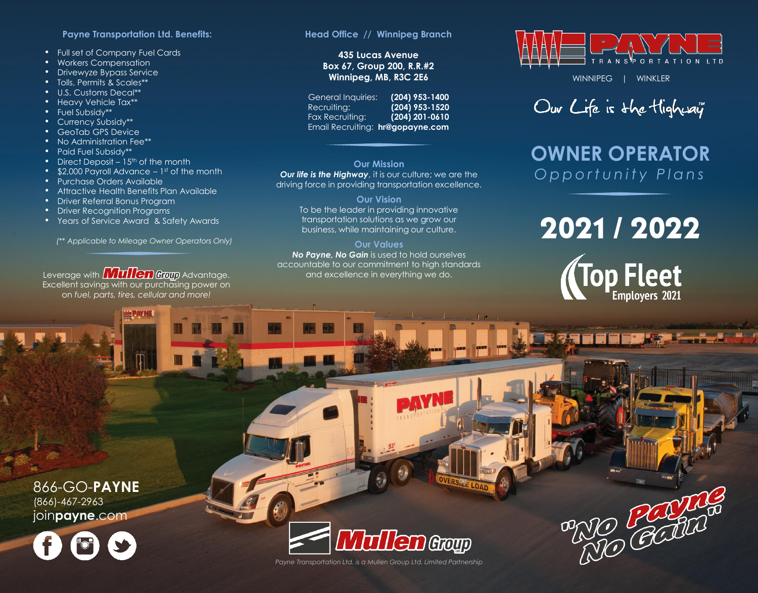#### **Payne Transportation Ltd. Benefits:**

- Full set of Company Fuel Cards
- Workers Compensation
- Drivewyze Bypass Service
- Tolls, Permits & Scales\*\*
- U.S. Customs Decal\*\*
- **Heavy Vehicle Tax\*\***
- Fuel Subsidy\*\*
- Currency Subsidy\*\*
- GeoTab GPS Device
- No Administration Fee\*\*
- Paid Fuel Subsidy\*\*
- Direct Deposit  $15<sup>th</sup>$  of the month
- $\bullet$  \$2,000 Payroll Advance  $-1$ <sup>st</sup> of the month
- Purchase Orders Available
- Attractive Health Benefits Plan Available
- Driver Referral Bonus Program
- Driver Recognition Programs
- Years of Service Award & Safety Awards

*(\*\* Applicable to Mileage Owner Operators Only)*

Leverage with **Mullen Group** Advantage. Excellent savings with our purchasing power on on *fuel, parts, tires, cellular and more!* 

**LE PAYNE** 

#### **Head Office // Winnipeg Branch**

### **435 Lucas Avenue Box 67, Group 200, R.R.#2 Winnipeg, MB, R3C 2E6**

General Inquiries: **(204) 953-1400**  Recruiting: **(204) 953-1520** Fax Recruiting: **(204) 201-0610** Email Recruiting: **hr@gopayne.com**

#### **Our Mission** *Our life is the Highway, it is our culture; we are the* driving force in providing transportation excellence.

**Our Vision** To be the leader in providing innovative transportation solutions as we grow our business, while maintaining our culture.

#### **Our Values**

*No Payne, No Gain* is used to hold ourselves accountable to our commitment to high standards and excellence in everything we do.



WINNIPEG | WINKLER

Our Life is the Highway"

## **OWNER OPERATOR** *O p p o r t u n i t y P l a n s*

# 2021 / 2022



RIO POSTA

866-GO-**PAYNE** (866)-467-2963 join**payne**.com





*Payne Transportation Ltd. is a Mullen Group Ltd. Limited Partnership*